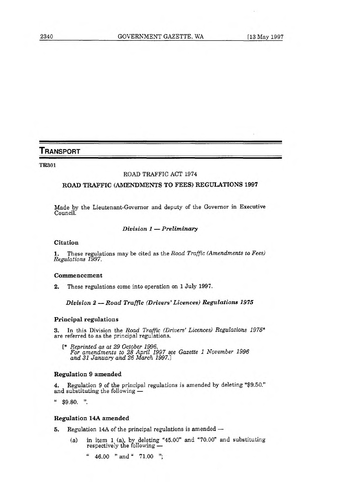# **TRANSPORT**

**TR301** 

## ROAD TRAFFIC ACT 1974

## **ROAD TRAFFIC (AMENDMENTS TO FEES) REGULATIONS 1997**

Made by the Lieutenant-Governor and deputy of the Governor in Executive Council.

## *Division 1 — Preliminary*

### **Citation**

1. These regulations may be cited as the *Road Traffic (Amendments to Fees) Regulations 1997.* 

## **Commencement**

2. These regulations come into operation on 1 July 1997.

## *Division 2 Road Traffic (Drivers' Licences) Regulations 1975*

### **Principal regulations**

3. In this Division the *Road Traffic (Drivers' Licences) Regulations 1975\**  are referred to as the principal regulations.

*[\* Reprinted as at 29 October 1996. For amendments to 28 April 1997 see Gazette 1 November 1996 and 31 January and 26 March 1997.]* 

## **Regulation 9 amended**

4. Regulation 9 of the principal regulations is amended by deleting "\$9.50." and substituting the following

" \$9.80. ".

### **Regulation 14A amended**

- 5. Regulation 14A of the principal regulations is amended
	- (a) in item  $1$  (a), by deleting "45.00" and "70.00" and substituting respectively the following —
		- " 46.00 " and " 71.00 ";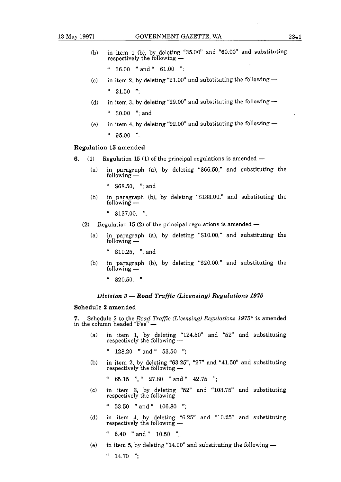- 
- (b) in item 1 (b), by deleting "35.00" and "60.00" and substituting respectively the following -
	- $48.00$  "and  $461.00$  ";
- (c) in item 2, by deleting "21.00" and substituting the following  $"21.50"$
- (d) in item 3, by deleting "29.00" and substituting the following  $4$  30.00 "; and
- (e) in item 4, by deleting "92.00" and substituting the following  $$ it 95.00 ".

### **Regulation 15 amended**

- **6.** (1) Regulation 15 (1) of the principal regulations is amended -
	- (a) in paragraph (a), by deleting "\$66.50," and substituting the  $f$ ollowing  $-$ 
		- $" $68.50, "; and"$
	- (b) in paragraph (b), by deleting "\$133.00." and substituting the  $f$ ollowing  $-$ 
		- $" $137.00. "$
	- (2) Regulation 15 (2) of the principal regulations is amended  $-$ 
		- (a) in paragraph (a), by deleting "\$10.00," and substituting the  $f$ ollowing  $-$

 $" $10.25, "; and"$ 

- (b) in paragraph (b), by deleting "\$20.00." and substituting the following -
	- $"$ \$20.50. ".

#### *Division 3— Road Traffic (Licensing) Regulations 1975*

#### **Schedule 2 amended**

**7.** Schedule 2 to the *Road Traffic (Licensing) Regulations*  $1975^*$  is amended in the column headed "Fee"  $-$ 

- (a) in item 1, by deleting "124.50" and "52" and substituting in headed "Fee" —<br>in item 1, by deleting "124<br>respectively the following
	- it 128.20 "and" 53.50 ";
- (b) in item 2, by deleting "63.25", "27" and "41.50" and substituting  $r = 128.20$  and  $r = 53.50$  ;<br>in item 2, by deleting "63.25",<br>respectively the following —

 $"$  65.15 ", " 27.80 " and " 42.75 ";

(c) in item 3, by deleting "52" and "103.75" and substituting " 65.15 ", " 27.80 " and "<br>in item 3, by deleting "52"<br>respectively the following —

it 53.50 "and" 106.80 ";

(d) in item 4, by deleting "6.25" and "10.25" and substituting " 53.50 " and " 106.80 ";<br>in item 4, by deleting "6.29<br>respectively the following —

**<sup>94</sup>**6.40 "and" 10.50 ";

(e) in item 5, by deleting "14.00" and substituting the following  $-$ 

 $"$  14.70 ";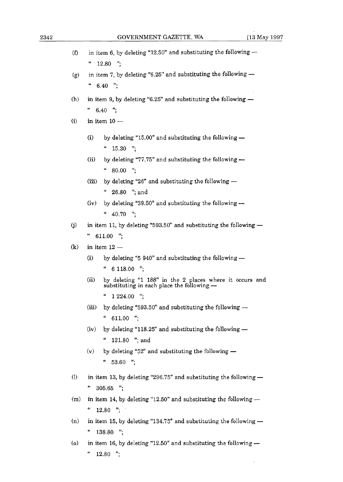| (f)                        | in item 6, by deleting "12.50" and substituting the following -<br>"<br>12.80 ";                             |
|----------------------------|--------------------------------------------------------------------------------------------------------------|
| (g)                        | in item 7, by deleting "6.25" and substituting the following -                                               |
|                            | $\boldsymbol{\mu}$<br>$6.40$ ";                                                                              |
| (h)                        | in item 9, by deleting "6.25" and substituting the following -                                               |
|                            | 66<br>$6.40$ ";                                                                                              |
| (i)                        | in item $10 -$                                                                                               |
|                            | (i)<br>by deleting "15.00" and substituting the following $-$                                                |
|                            | 66<br>$15.30$ ";                                                                                             |
|                            | (ii)<br>by deleting "77.75" and substituting the following -<br>$80.00$ ";                                   |
|                            | (iii)<br>by deleting "26" and substituting the following $-$                                                 |
|                            | $\epsilon$<br>26.80 "; and                                                                                   |
|                            | by deleting "39.50" and substituting the following $-$<br>(iv)                                               |
|                            | 66<br>40.70 ":                                                                                               |
| (i)                        | in item 11, by deleting "593.50" and substituting the following -                                            |
|                            | "<br>$611.00$ ";                                                                                             |
| $\left( \mathbf{k}\right)$ | in item $12-$                                                                                                |
|                            | by deleting "5 $940$ " and substituting the following $-$<br>(i)                                             |
|                            | 66<br>6 118.00 ";                                                                                            |
|                            | (ii)<br>by deleting "1 188" in the 2 places where it occurs and substituting in each place the following $-$ |
|                            | 66<br>";<br>1 2 2 4 . 0 0                                                                                    |
|                            | (iii)<br>by deleting "593.50" and substituting the following --                                              |
|                            | "<br>611.00 ";                                                                                               |
|                            | (iv)<br>by deleting "118.25" and substituting the following -                                                |
|                            | 66<br>121.80 "; and                                                                                          |
|                            | by deleting "52" and substituting the following $-$<br>(v)<br>66<br>53.60 ":                                 |
| (I)                        | in item 13, by deleting "296.75" and substituting the following $-$                                          |
|                            | 4<br>$305.65$ ";                                                                                             |
| (m)                        | in item 14, by deleting "12.50" and substituting the following $-$                                           |
|                            | "<br>$12.80$ ";                                                                                              |
| (n)                        | in item 15, by deleting "134.75" and substituting the following -                                            |
|                            | 4<br>";<br>138.80                                                                                            |
|                            |                                                                                                              |

(o) in item 16, by deleting "12.50" and substituting the following  $$ **it** 12.80 ";

 $\mathcal{A}$